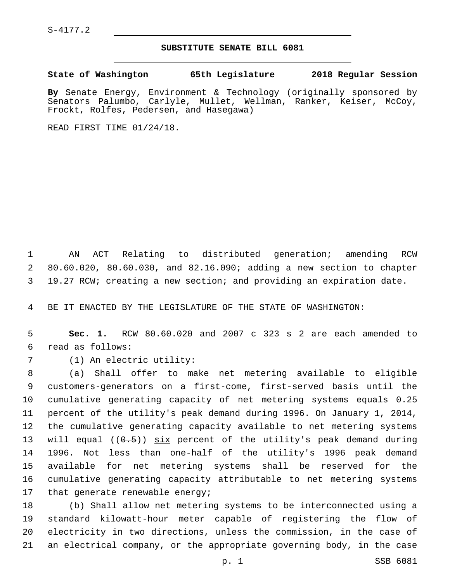S-4177.2

## **SUBSTITUTE SENATE BILL 6081**

**State of Washington 65th Legislature 2018 Regular Session**

**By** Senate Energy, Environment & Technology (originally sponsored by Senators Palumbo, Carlyle, Mullet, Wellman, Ranker, Keiser, McCoy, Frockt, Rolfes, Pedersen, and Hasegawa)

READ FIRST TIME 01/24/18.

1 AN ACT Relating to distributed generation; amending RCW 2 80.60.020, 80.60.030, and 82.16.090; adding a new section to chapter 3 19.27 RCW; creating a new section; and providing an expiration date.

4 BE IT ENACTED BY THE LEGISLATURE OF THE STATE OF WASHINGTON:

5 **Sec. 1.** RCW 80.60.020 and 2007 c 323 s 2 are each amended to read as follows:6

7 (1) An electric utility:

 (a) Shall offer to make net metering available to eligible customers-generators on a first-come, first-served basis until the cumulative generating capacity of net metering systems equals 0.25 percent of the utility's peak demand during 1996. On January 1, 2014, the cumulative generating capacity available to net metering systems 13 will equal  $((0.5))$  six percent of the utility's peak demand during 1996. Not less than one-half of the utility's 1996 peak demand available for net metering systems shall be reserved for the cumulative generating capacity attributable to net metering systems 17 that generate renewable energy;

 (b) Shall allow net metering systems to be interconnected using a standard kilowatt-hour meter capable of registering the flow of electricity in two directions, unless the commission, in the case of an electrical company, or the appropriate governing body, in the case

p. 1 SSB 6081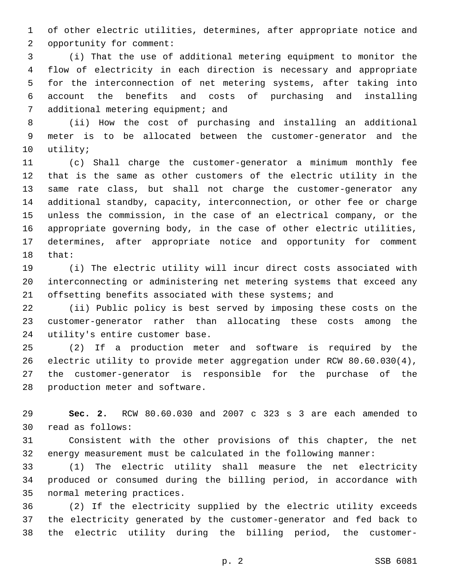of other electric utilities, determines, after appropriate notice and 2 opportunity for comment:

 (i) That the use of additional metering equipment to monitor the flow of electricity in each direction is necessary and appropriate for the interconnection of net metering systems, after taking into account the benefits and costs of purchasing and installing 7 additional metering equipment; and

 (ii) How the cost of purchasing and installing an additional meter is to be allocated between the customer-generator and the 10 utility;

 (c) Shall charge the customer-generator a minimum monthly fee that is the same as other customers of the electric utility in the same rate class, but shall not charge the customer-generator any additional standby, capacity, interconnection, or other fee or charge unless the commission, in the case of an electrical company, or the appropriate governing body, in the case of other electric utilities, determines, after appropriate notice and opportunity for comment 18 that:

 (i) The electric utility will incur direct costs associated with interconnecting or administering net metering systems that exceed any 21 offsetting benefits associated with these systems; and

 (ii) Public policy is best served by imposing these costs on the customer-generator rather than allocating these costs among the 24 utility's entire customer base.

 (2) If a production meter and software is required by the electric utility to provide meter aggregation under RCW 80.60.030(4), the customer-generator is responsible for the purchase of the 28 production meter and software.

 **Sec. 2.** RCW 80.60.030 and 2007 c 323 s 3 are each amended to 30 read as follows:

 Consistent with the other provisions of this chapter, the net energy measurement must be calculated in the following manner:

 (1) The electric utility shall measure the net electricity produced or consumed during the billing period, in accordance with 35 normal metering practices.

 (2) If the electricity supplied by the electric utility exceeds the electricity generated by the customer-generator and fed back to the electric utility during the billing period, the customer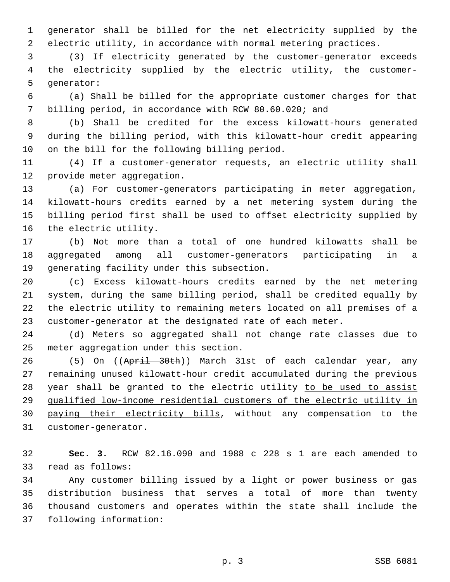generator shall be billed for the net electricity supplied by the electric utility, in accordance with normal metering practices.

 (3) If electricity generated by the customer-generator exceeds the electricity supplied by the electric utility, the customer-5 generator:

 (a) Shall be billed for the appropriate customer charges for that billing period, in accordance with RCW 80.60.020; and

 (b) Shall be credited for the excess kilowatt-hours generated during the billing period, with this kilowatt-hour credit appearing 10 on the bill for the following billing period.

 (4) If a customer-generator requests, an electric utility shall 12 provide meter aggregation.

 (a) For customer-generators participating in meter aggregation, kilowatt-hours credits earned by a net metering system during the billing period first shall be used to offset electricity supplied by 16 the electric utility.

 (b) Not more than a total of one hundred kilowatts shall be aggregated among all customer-generators participating in a 19 generating facility under this subsection.

 (c) Excess kilowatt-hours credits earned by the net metering system, during the same billing period, shall be credited equally by the electric utility to remaining meters located on all premises of a customer-generator at the designated rate of each meter.

 (d) Meters so aggregated shall not change rate classes due to 25 meter aggregation under this section.

26 (5) On ((April 30th)) March 31st of each calendar year, any remaining unused kilowatt-hour credit accumulated during the previous 28 year shall be granted to the electric utility to be used to assist qualified low-income residential customers of the electric utility in paying their electricity bills, without any compensation to the 31 customer-generator.

 **Sec. 3.** RCW 82.16.090 and 1988 c 228 s 1 are each amended to 33 read as follows:

 Any customer billing issued by a light or power business or gas distribution business that serves a total of more than twenty thousand customers and operates within the state shall include the 37 following information: